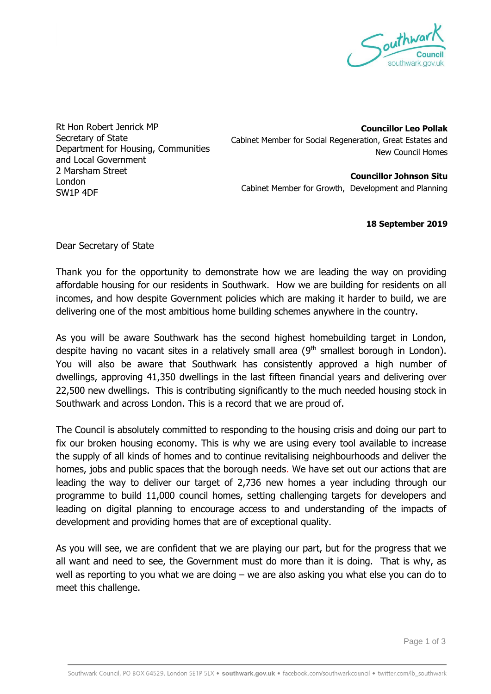

Rt Hon Robert Jenrick MP Secretary of State Department for Housing, Communities and Local Government 2 Marsham Street London SW1P 4DF

**Councillor Leo Pollak** Cabinet Member for Social Regeneration, Great Estates and New Council Homes

**Councillor Johnson Situ** Cabinet Member for Growth, Development and Planning

**18 September 2019** 

Dear Secretary of State

Thank you for the opportunity to demonstrate how we are leading the way on providing affordable housing for our residents in Southwark. How we are building for residents on all incomes, and how despite Government policies which are making it harder to build, we are delivering one of the most ambitious home building schemes anywhere in the country.

As you will be aware Southwark has the second highest homebuilding target in London, despite having no vacant sites in a relatively small area  $(9<sup>th</sup>$  smallest borough in London). You will also be aware that Southwark has consistently approved a high number of dwellings, approving 41,350 dwellings in the last fifteen financial years and delivering over 22,500 new dwellings. This is contributing significantly to the much needed housing stock in Southwark and across London. This is a record that we are proud of.

The Council is absolutely committed to responding to the housing crisis and doing our part to fix our broken housing economy. This is why we are using every tool available to increase the supply of all kinds of homes and to continue revitalising neighbourhoods and deliver the homes, jobs and public spaces that the borough needs. We have set out our actions that are leading the way to deliver our target of 2,736 new homes a year including through our programme to build 11,000 council homes, setting challenging targets for developers and leading on digital planning to encourage access to and understanding of the impacts of development and providing homes that are of exceptional quality.

As you will see, we are confident that we are playing our part, but for the progress that we all want and need to see, the Government must do more than it is doing. That is why, as well as reporting to you what we are doing – we are also asking you what else you can do to meet this challenge.

Page 1 of 3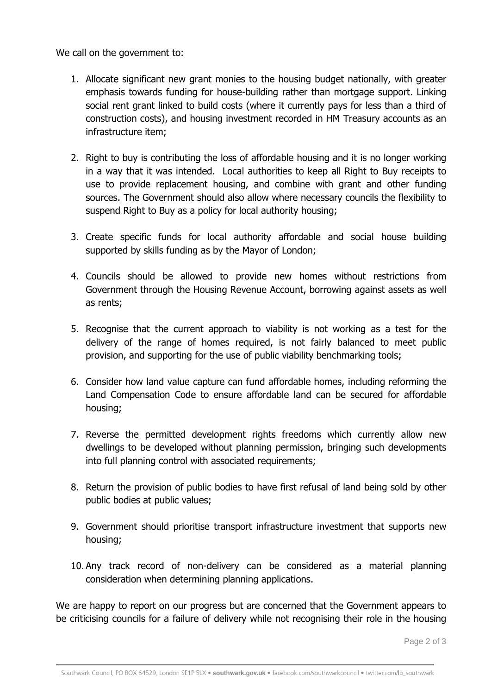We call on the government to:

- 1. Allocate significant new grant monies to the housing budget nationally, with greater emphasis towards funding for house-building rather than mortgage support. Linking social rent grant linked to build costs (where it currently pays for less than a third of construction costs), and housing investment recorded in HM Treasury accounts as an infrastructure item;
- 2. Right to buy is contributing the loss of affordable housing and it is no longer working in a way that it was intended. Local authorities to keep all Right to Buy receipts to use to provide replacement housing, and combine with grant and other funding sources. The Government should also allow where necessary councils the flexibility to suspend Right to Buy as a policy for local authority housing;
- 3. Create specific funds for local authority affordable and social house building supported by skills funding as by the Mayor of London;
- 4. Councils should be allowed to provide new homes without restrictions from Government through the Housing Revenue Account, borrowing against assets as well as rents;
- 5. Recognise that the current approach to viability is not working as a test for the delivery of the range of homes required, is not fairly balanced to meet public provision, and supporting for the use of public viability benchmarking tools;
- 6. Consider how land value capture can fund affordable homes, including reforming the Land Compensation Code to ensure affordable land can be secured for affordable housing;
- 7. Reverse the permitted development rights freedoms which currently allow new dwellings to be developed without planning permission, bringing such developments into full planning control with associated requirements;
- 8. Return the provision of public bodies to have first refusal of land being sold by other public bodies at public values;
- 9. Government should prioritise transport infrastructure investment that supports new housing;
- 10. Any track record of non-delivery can be considered as a material planning consideration when determining planning applications.

We are happy to report on our progress but are concerned that the Government appears to be criticising councils for a failure of delivery while not recognising their role in the housing

Page 2 of 3